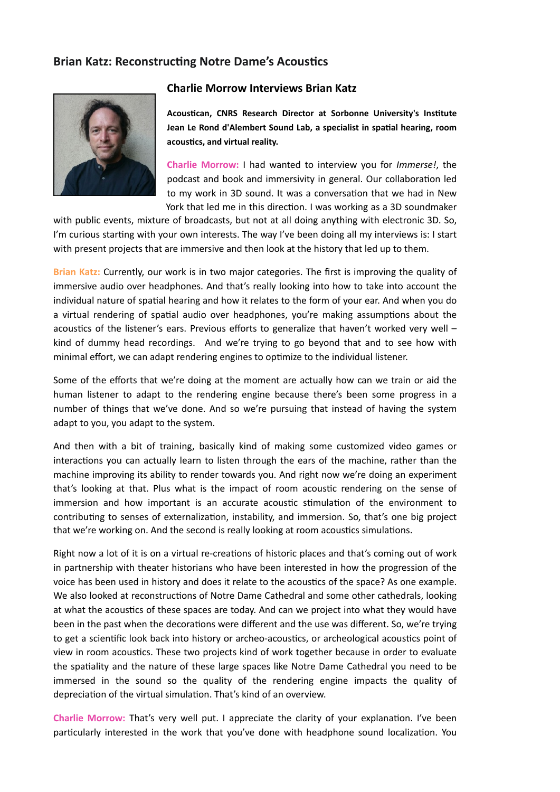## **Brian Katz: Reconstructing Notre Dame's Acoustics**



## **Charlie Morrow Interviews Brian Katz**

Acoustican, CNRS Research Director at Sorbonne University's Institute **Jean Le Rond d'Alembert Sound Lab, a specialist in spatial hearing, room** acoustics, and virtual reality.

**Charlie Morrow:** I had wanted to interview you for *Immerse!*, the podcast and book and immersivity in general. Our collaboration led to my work in 3D sound. It was a conversation that we had in New York that led me in this direction. I was working as a 3D soundmaker

with public events, mixture of broadcasts, but not at all doing anything with electronic 3D. So, I'm curious starting with your own interests. The way I've been doing all my interviews is: I start with present projects that are immersive and then look at the history that led up to them.

Brian Katz: Currently, our work is in two major categories. The first is improving the quality of immersive audio over headphones. And that's really looking into how to take into account the individual nature of spatial hearing and how it relates to the form of your ear. And when you do a virtual rendering of spatial audio over headphones, you're making assumptions about the acoustics of the listener's ears. Previous efforts to generalize that haven't worked very well  $$ kind of dummy head recordings. And we're trying to go beyond that and to see how with minimal effort, we can adapt rendering engines to optimize to the individual listener.

Some of the efforts that we're doing at the moment are actually how can we train or aid the human listener to adapt to the rendering engine because there's been some progress in a number of things that we've done. And so we're pursuing that instead of having the system adapt to you, you adapt to the system.

And then with a bit of training, basically kind of making some customized video games or interactions you can actually learn to listen through the ears of the machine, rather than the machine improving its ability to render towards you. And right now we're doing an experiment that's looking at that. Plus what is the impact of room acoustic rendering on the sense of immersion and how important is an accurate acoustic stimulation of the environment to contributing to senses of externalization, instability, and immersion. So, that's one big project that we're working on. And the second is really looking at room acoustics simulations.

Right now a lot of it is on a virtual re-creations of historic places and that's coming out of work in partnership with theater historians who have been interested in how the progression of the voice has been used in history and does it relate to the acoustics of the space? As one example. We also looked at reconstructions of Notre Dame Cathedral and some other cathedrals, looking at what the acoustics of these spaces are today. And can we project into what they would have been in the past when the decorations were different and the use was different. So, we're trying to get a scientific look back into history or archeo-acoustics, or archeological acoustics point of view in room acoustics. These two projects kind of work together because in order to evaluate the spatiality and the nature of these large spaces like Notre Dame Cathedral you need to be immersed in the sound so the quality of the rendering engine impacts the quality of depreciation of the virtual simulation. That's kind of an overview.

**Charlie Morrow:** That's very well put. I appreciate the clarity of your explanation. I've been particularly interested in the work that you've done with headphone sound localization. You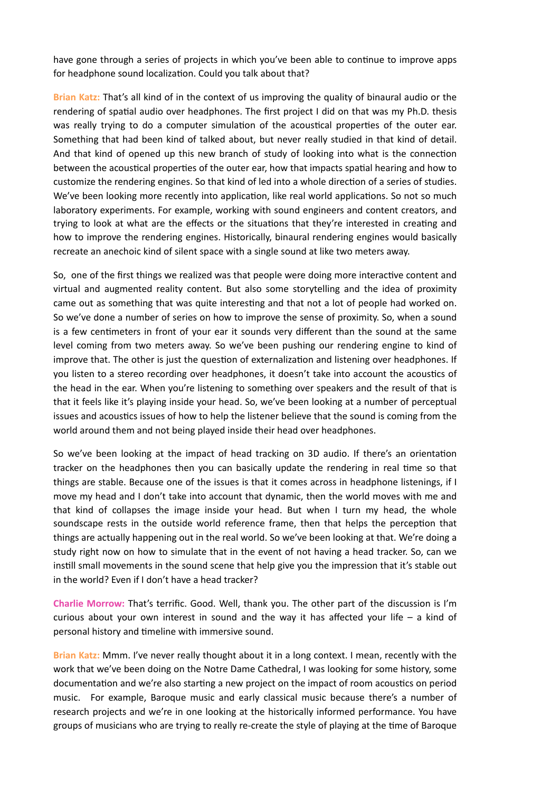have gone through a series of projects in which you've been able to continue to improve apps for headphone sound localization. Could you talk about that?

**Brian Katz:** That's all kind of in the context of us improving the quality of binaural audio or the rendering of spatial audio over headphones. The first project I did on that was my Ph.D. thesis was really trying to do a computer simulation of the acoustical properties of the outer ear. Something that had been kind of talked about, but never really studied in that kind of detail. And that kind of opened up this new branch of study of looking into what is the connection between the acoustical properties of the outer ear, how that impacts spatial hearing and how to customize the rendering engines. So that kind of led into a whole direction of a series of studies. We've been looking more recently into application, like real world applications. So not so much laboratory experiments. For example, working with sound engineers and content creators, and trying to look at what are the effects or the situations that they're interested in creating and how to improve the rendering engines. Historically, binaural rendering engines would basically recreate an anechoic kind of silent space with a single sound at like two meters away.

So, one of the first things we realized was that people were doing more interactive content and virtual and augmented reality content. But also some storytelling and the idea of proximity came out as something that was quite interesting and that not a lot of people had worked on. So we've done a number of series on how to improve the sense of proximity. So, when a sound is a few centimeters in front of your ear it sounds very different than the sound at the same level coming from two meters away. So we've been pushing our rendering engine to kind of improve that. The other is just the question of externalization and listening over headphones. If you listen to a stereo recording over headphones, it doesn't take into account the acoustics of the head in the ear. When you're listening to something over speakers and the result of that is that it feels like it's playing inside your head. So, we've been looking at a number of perceptual issues and acoustics issues of how to help the listener believe that the sound is coming from the world around them and not being played inside their head over headphones.

So we've been looking at the impact of head tracking on 3D audio. If there's an orientation tracker on the headphones then you can basically update the rendering in real time so that things are stable. Because one of the issues is that it comes across in headphone listenings, if I move my head and I don't take into account that dynamic, then the world moves with me and that kind of collapses the image inside your head. But when I turn my head, the whole soundscape rests in the outside world reference frame, then that helps the perception that things are actually happening out in the real world. So we've been looking at that. We're doing a study right now on how to simulate that in the event of not having a head tracker. So, can we instill small movements in the sound scene that help give you the impression that it's stable out in the world? Even if I don't have a head tracker?

Charlie Morrow: That's terrific. Good. Well, thank you. The other part of the discussion is I'm curious about your own interest in sound and the way it has affected your life  $-$  a kind of personal history and timeline with immersive sound.

**Brian Katz:** Mmm. I've never really thought about it in a long context. I mean, recently with the work that we've been doing on the Notre Dame Cathedral, I was looking for some history, some documentation and we're also starting a new project on the impact of room acoustics on period music. For example, Baroque music and early classical music because there's a number of research projects and we're in one looking at the historically informed performance. You have groups of musicians who are trying to really re-create the style of playing at the time of Baroque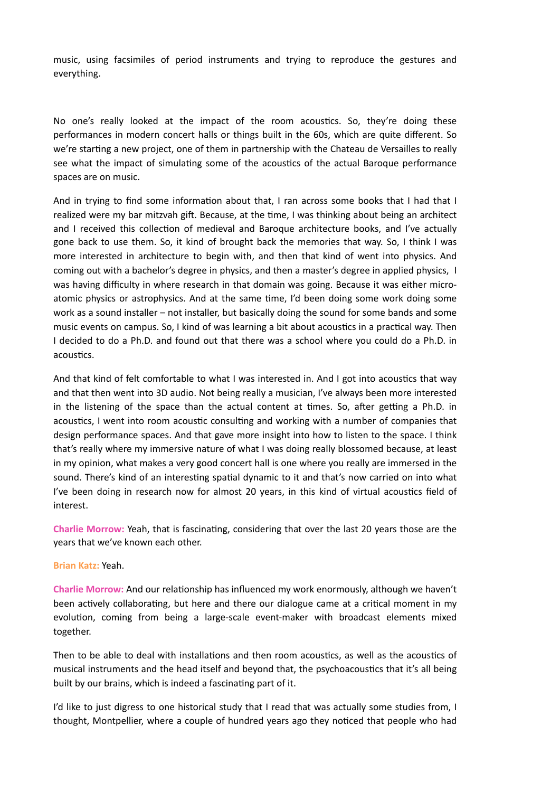music, using facsimiles of period instruments and trying to reproduce the gestures and everything. 

No one's really looked at the impact of the room acoustics. So, they're doing these performances in modern concert halls or things built in the 60s, which are quite different. So we're starting a new project, one of them in partnership with the Chateau de Versailles to really see what the impact of simulating some of the acoustics of the actual Baroque performance spaces are on music.

And in trying to find some information about that, I ran across some books that I had that I realized were my bar mitzvah gift. Because, at the time, I was thinking about being an architect and I received this collection of medieval and Baroque architecture books, and I've actually gone back to use them. So, it kind of brought back the memories that way. So, I think I was more interested in architecture to begin with, and then that kind of went into physics. And coming out with a bachelor's degree in physics, and then a master's degree in applied physics, I was having difficulty in where research in that domain was going. Because it was either microatomic physics or astrophysics. And at the same time, I'd been doing some work doing some work as a sound installer – not installer, but basically doing the sound for some bands and some music events on campus. So, I kind of was learning a bit about acoustics in a practical way. Then I decided to do a Ph.D. and found out that there was a school where you could do a Ph.D. in acoustics.

And that kind of felt comfortable to what I was interested in. And I got into acoustics that way and that then went into 3D audio. Not being really a musician, I've always been more interested in the listening of the space than the actual content at times. So, after getting a Ph.D. in acoustics, I went into room acoustic consulting and working with a number of companies that design performance spaces. And that gave more insight into how to listen to the space. I think that's really where my immersive nature of what I was doing really blossomed because, at least in my opinion, what makes a very good concert hall is one where you really are immersed in the sound. There's kind of an interesting spatial dynamic to it and that's now carried on into what I've been doing in research now for almost 20 years, in this kind of virtual acoustics field of interest.

Charlie Morrow: Yeah, that is fascinating, considering that over the last 20 years those are the years that we've known each other.

## **Brian Katz:** Yeah.

**Charlie Morrow:** And our relationship has influenced my work enormously, although we haven't been actively collaborating, but here and there our dialogue came at a critical moment in my evolution, coming from being a large-scale event-maker with broadcast elements mixed together.

Then to be able to deal with installations and then room acoustics, as well as the acoustics of musical instruments and the head itself and beyond that, the psychoacoustics that it's all being built by our brains, which is indeed a fascinating part of it.

I'd like to just digress to one historical study that I read that was actually some studies from, I thought, Montpellier, where a couple of hundred years ago they noticed that people who had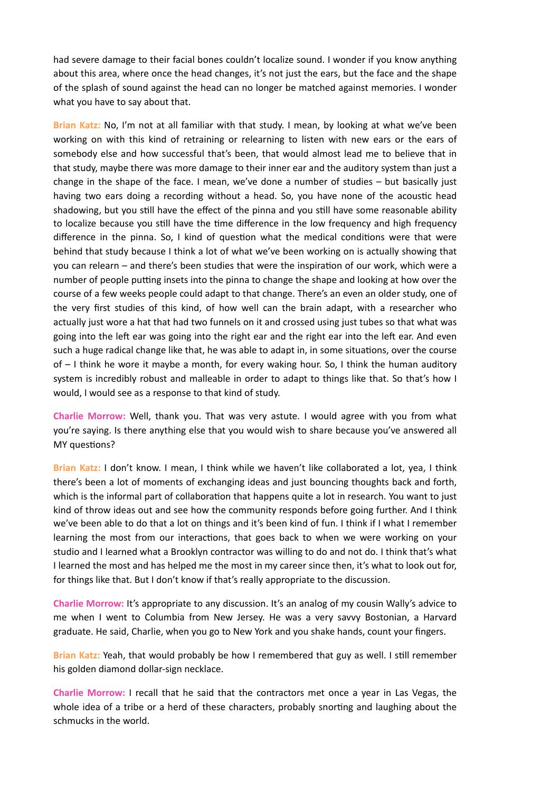had severe damage to their facial bones couldn't localize sound. I wonder if you know anything about this area, where once the head changes, it's not just the ears, but the face and the shape of the splash of sound against the head can no longer be matched against memories. I wonder what you have to say about that.

**Brian Katz:** No, I'm not at all familiar with that study. I mean, by looking at what we've been working on with this kind of retraining or relearning to listen with new ears or the ears of somebody else and how successful that's been, that would almost lead me to believe that in that study, maybe there was more damage to their inner ear and the auditory system than just a change in the shape of the face. I mean, we've done a number of studies  $-$  but basically just having two ears doing a recording without a head. So, you have none of the acoustic head shadowing, but you still have the effect of the pinna and you still have some reasonable ability to localize because you still have the time difference in the low frequency and high frequency difference in the pinna. So, I kind of question what the medical conditions were that were behind that study because I think a lot of what we've been working on is actually showing that you can relearn – and there's been studies that were the inspiration of our work, which were a number of people putting insets into the pinna to change the shape and looking at how over the course of a few weeks people could adapt to that change. There's an even an older study, one of the very first studies of this kind, of how well can the brain adapt, with a researcher who actually just wore a hat that had two funnels on it and crossed using just tubes so that what was going into the left ear was going into the right ear and the right ear into the left ear. And even such a huge radical change like that, he was able to adapt in, in some situations, over the course of  $-1$  think he wore it maybe a month, for every waking hour. So, I think the human auditory system is incredibly robust and malleable in order to adapt to things like that. So that's how I would, I would see as a response to that kind of study.

**Charlie Morrow:** Well, thank you. That was very astute. I would agree with you from what you're saying. Is there anything else that you would wish to share because you've answered all MY questions?

Brian Katz: I don't know. I mean, I think while we haven't like collaborated a lot, yea, I think there's been a lot of moments of exchanging ideas and just bouncing thoughts back and forth, which is the informal part of collaboration that happens quite a lot in research. You want to just kind of throw ideas out and see how the community responds before going further. And I think we've been able to do that a lot on things and it's been kind of fun. I think if I what I remember learning the most from our interactions, that goes back to when we were working on your studio and I learned what a Brooklyn contractor was willing to do and not do. I think that's what I learned the most and has helped me the most in my career since then, it's what to look out for, for things like that. But I don't know if that's really appropriate to the discussion.

**Charlie Morrow:** It's appropriate to any discussion. It's an analog of my cousin Wally's advice to me when I went to Columbia from New Jersey. He was a very savvy Bostonian, a Harvard graduate. He said, Charlie, when you go to New York and you shake hands, count your fingers.

**Brian Katz:** Yeah, that would probably be how I remembered that guy as well. I still remember his golden diamond dollar-sign necklace.

**Charlie Morrow:** I recall that he said that the contractors met once a year in Las Vegas, the whole idea of a tribe or a herd of these characters, probably snorting and laughing about the schmucks in the world.